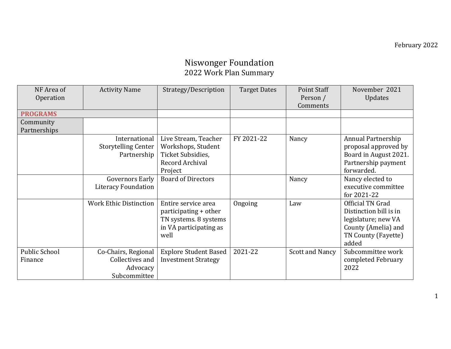#### Niswonger Foundation 2022 Work Plan Summary

| NF Area of           | <b>Activity Name</b>          | Strategy/Description         | <b>Target Dates</b> | <b>Point Staff</b> | November 2021          |
|----------------------|-------------------------------|------------------------------|---------------------|--------------------|------------------------|
| Operation            |                               |                              |                     | Person /           | <b>Updates</b>         |
|                      |                               |                              |                     | Comments           |                        |
| <b>PROGRAMS</b>      |                               |                              |                     |                    |                        |
| Community            |                               |                              |                     |                    |                        |
| Partnerships         |                               |                              |                     |                    |                        |
|                      | International                 | Live Stream, Teacher         | FY 2021-22          | Nancy              | Annual Partnership     |
|                      | <b>Storytelling Center</b>    | Workshops, Student           |                     |                    | proposal approved by   |
|                      | Partnership                   | Ticket Subsidies,            |                     |                    | Board in August 2021.  |
|                      |                               | Record Archival              |                     |                    | Partnership payment    |
|                      |                               | Project                      |                     |                    | forwarded.             |
|                      | <b>Governors Early</b>        | <b>Board of Directors</b>    |                     | Nancy              | Nancy elected to       |
|                      | <b>Literacy Foundation</b>    |                              |                     |                    | executive committee    |
|                      |                               |                              |                     |                    | for 2021-22            |
|                      | <b>Work Ethic Distinction</b> | Entire service area          | Ongoing             | Law                | Official TN Grad       |
|                      |                               | participating + other        |                     |                    | Distinction bill is in |
|                      |                               | TN systems. 8 systems        |                     |                    | legislature; new VA    |
|                      |                               | in VA participating as       |                     |                    | County (Amelia) and    |
|                      |                               | well                         |                     |                    | TN County (Fayette)    |
|                      |                               |                              |                     |                    | added                  |
| <b>Public School</b> | Co-Chairs, Regional           | <b>Explore Student Based</b> | 2021-22             | Scott and Nancy    | Subcommittee work      |
| Finance              | Collectives and               | <b>Investment Strategy</b>   |                     |                    | completed February     |
|                      | Advocacy                      |                              |                     |                    | 2022                   |
|                      | Subcommittee                  |                              |                     |                    |                        |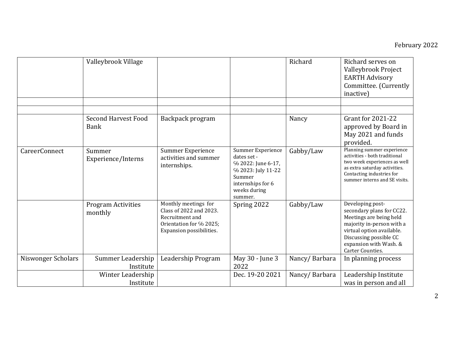|                    | Valleybrook Village                       |                                                                                                                           |                                                                                                                                        | Richard       | Richard serves on<br>Valleybrook Project<br><b>EARTH Advisory</b><br>Committee. (Currently<br>inactive)                                                                                                           |
|--------------------|-------------------------------------------|---------------------------------------------------------------------------------------------------------------------------|----------------------------------------------------------------------------------------------------------------------------------------|---------------|-------------------------------------------------------------------------------------------------------------------------------------------------------------------------------------------------------------------|
|                    |                                           |                                                                                                                           |                                                                                                                                        |               |                                                                                                                                                                                                                   |
|                    |                                           |                                                                                                                           |                                                                                                                                        |               |                                                                                                                                                                                                                   |
|                    | <b>Second Harvest Food</b><br><b>Bank</b> | Backpack program                                                                                                          |                                                                                                                                        | Nancy         | <b>Grant for 2021-22</b><br>approved by Board in<br>May 2021 and funds<br>provided.                                                                                                                               |
| CareerConnect      | Summer<br>Experience/Interns              | <b>Summer Experience</b><br>activities and summer<br>internships.                                                         | Summer Experience<br>dates set -<br>% 2022: June 6-17,<br>% 2023: July 11-22<br>Summer<br>internships for 6<br>weeks during<br>summer. | Gabby/Law     | Planning summer experience<br>activities - both traditional<br>two week experiences as well<br>as extra saturday activities.<br>Contacting industries for<br>summer interns and SE visits.                        |
|                    | <b>Program Activities</b><br>monthly      | Monthly meetings for<br>Class of 2022 and 2023.<br>Recruitment and<br>Orientation for % 2025;<br>Expansion possibilities. | Spring 2022                                                                                                                            | Gabby/Law     | Developing post-<br>secondary plans for CC22.<br>Meetings are being held<br>majority in-person with a<br>virtual option available.<br>Discussing possible CC<br>expansion with Wash. &<br><b>Carter Counties.</b> |
| Niswonger Scholars | Summer Leadership<br>Institute            | Leadership Program                                                                                                        | May 30 - June 3<br>2022                                                                                                                | Nancy/Barbara | In planning process                                                                                                                                                                                               |
|                    | Winter Leadership                         |                                                                                                                           | Dec. 19-20 2021                                                                                                                        | Nancy/Barbara | Leadership Institute                                                                                                                                                                                              |
|                    | Institute                                 |                                                                                                                           |                                                                                                                                        |               | was in person and all                                                                                                                                                                                             |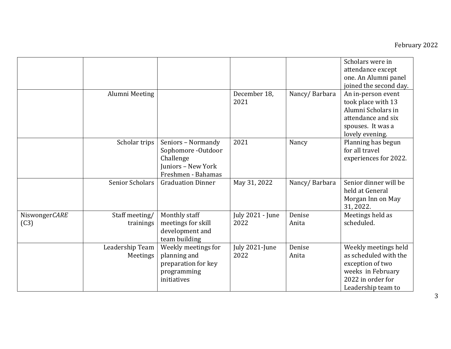|                       |                             |                                                                                                   |                          |                 | Scholars were in<br>attendance except<br>one. An Alumni panel<br>joined the second day.                                           |
|-----------------------|-----------------------------|---------------------------------------------------------------------------------------------------|--------------------------|-----------------|-----------------------------------------------------------------------------------------------------------------------------------|
|                       | Alumni Meeting              |                                                                                                   | December 18,<br>2021     | Nancy/Barbara   | An in-person event<br>took place with 13<br>Alumni Scholars in<br>attendance and six<br>spouses. It was a<br>lovely evening.      |
|                       | Scholar trips               | Seniors - Normandy<br>Sophomore -Outdoor<br>Challenge<br>Juniors - New York<br>Freshmen - Bahamas | 2021                     | Nancy           | Planning has begun<br>for all travel<br>experiences for 2022.                                                                     |
|                       | <b>Senior Scholars</b>      | <b>Graduation Dinner</b>                                                                          | May 31, 2022             | Nancy/Barbara   | Senior dinner will be<br>held at General<br>Morgan Inn on May<br>31, 2022.                                                        |
| NiswongerCARE<br>(C3) | Staff meeting/<br>trainings | Monthly staff<br>meetings for skill<br>development and<br>team building                           | July 2021 - June<br>2022 | Denise<br>Anita | Meetings held as<br>scheduled.                                                                                                    |
|                       | Leadership Team<br>Meetings | Weekly meetings for<br>planning and<br>preparation for key<br>programming<br>initiatives          | July 2021-June<br>2022   | Denise<br>Anita | Weekly meetings held<br>as scheduled with the<br>exception of two<br>weeks in February<br>2022 in order for<br>Leadership team to |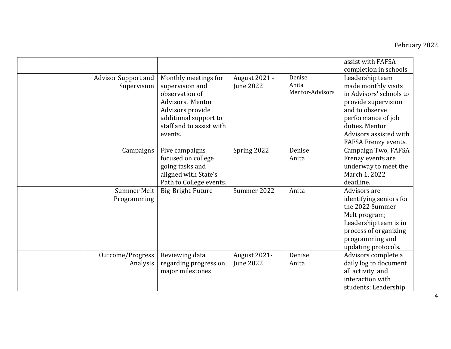|                                           |                                                                                                                                                                   |                                   |                                    | assist with FAFSA<br>completion in schools                                                                                                                                                           |
|-------------------------------------------|-------------------------------------------------------------------------------------------------------------------------------------------------------------------|-----------------------------------|------------------------------------|------------------------------------------------------------------------------------------------------------------------------------------------------------------------------------------------------|
| <b>Advisor Support and</b><br>Supervision | Monthly meetings for<br>supervision and<br>observation of<br>Advisors, Mentor<br>Advisors provide<br>additional support to<br>staff and to assist with<br>events. | <b>August 2021 -</b><br>June 2022 | Denise<br>Anita<br>Mentor-Advisors | Leadership team<br>made monthly visits<br>in Advisors' schools to<br>provide supervision<br>and to observe<br>performance of job<br>duties. Mentor<br>Advisors assisted with<br>FAFSA Frenzy events. |
| Campaigns                                 | Five campaigns<br>focused on college<br>going tasks and<br>aligned with State's<br>Path to College events.                                                        | Spring 2022                       | Denise<br>Anita                    | Campaign Two, FAFSA<br>Frenzy events are<br>underway to meet the<br>March 1, 2022<br>deadline.                                                                                                       |
| <b>Summer Melt</b><br>Programming         | Big-Bright-Future                                                                                                                                                 | Summer 2022                       | Anita                              | Advisors are<br>identifying seniors for<br>the 2022 Summer<br>Melt program;<br>Leadership team is in<br>process of organizing<br>programming and<br>updating protocols.                              |
| Outcome/Progress<br>Analysis              | Reviewing data<br>regarding progress on<br>major milestones                                                                                                       | August 2021-<br><b>June 2022</b>  | Denise<br>Anita                    | Advisors complete a<br>daily log to document<br>all activity and<br>interaction with<br>students; Leadership                                                                                         |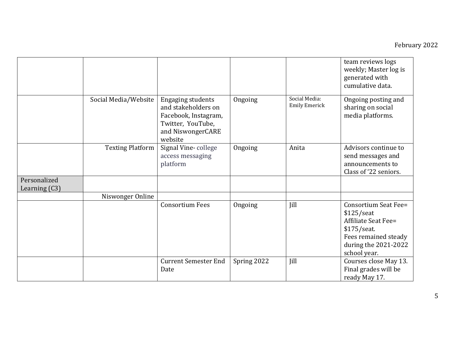|                                 |                         |                                                                                                                              |             |                                       | team reviews logs<br>weekly; Master log is<br>generated with<br>cumulative data.                                                                         |
|---------------------------------|-------------------------|------------------------------------------------------------------------------------------------------------------------------|-------------|---------------------------------------|----------------------------------------------------------------------------------------------------------------------------------------------------------|
|                                 | Social Media/Website    | <b>Engaging students</b><br>and stakeholders on<br>Facebook, Instagram,<br>Twitter, YouTube,<br>and NiswongerCARE<br>website | Ongoing     | Social Media:<br><b>Emily Emerick</b> | Ongoing posting and<br>sharing on social<br>media platforms.                                                                                             |
|                                 | <b>Texting Platform</b> | Signal Vine-college<br>access messaging<br>platform                                                                          | Ongoing     | Anita                                 | Advisors continue to<br>send messages and<br>announcements to<br>Class of '22 seniors.                                                                   |
| Personalized<br>Learning $(C3)$ |                         |                                                                                                                              |             |                                       |                                                                                                                                                          |
|                                 | Niswonger Online        |                                                                                                                              |             |                                       |                                                                                                                                                          |
|                                 |                         | <b>Consortium Fees</b>                                                                                                       | Ongoing     | Jill                                  | <b>Consortium Seat Fee=</b><br>$$125/$ seat<br><b>Affiliate Seat Fee=</b><br>\$175/seat.<br>Fees remained steady<br>during the 2021-2022<br>school year. |
|                                 |                         | <b>Current Semester End</b><br>Date                                                                                          | Spring 2022 | Jill                                  | Courses close May 13.<br>Final grades will be<br>ready May 17.                                                                                           |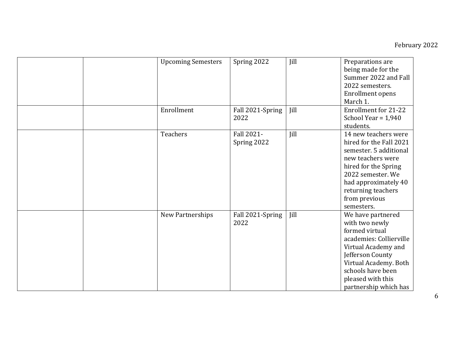|  | <b>Upcoming Semesters</b> | Spring 2022               | Jill | Preparations are<br>being made for the<br>Summer 2022 and Fall<br>2022 semesters.<br><b>Enrollment opens</b><br>March 1.                                                                                                 |
|--|---------------------------|---------------------------|------|--------------------------------------------------------------------------------------------------------------------------------------------------------------------------------------------------------------------------|
|  | Enrollment                | Fall 2021-Spring<br>2022  | Jill | <b>Enrollment for 21-22</b><br>School Year = $1,940$<br>students.                                                                                                                                                        |
|  | Teachers                  | Fall 2021-<br>Spring 2022 | Jill | 14 new teachers were<br>hired for the Fall 2021<br>semester. 5 additional<br>new teachers were<br>hired for the Spring<br>2022 semester. We<br>had approximately 40<br>returning teachers<br>from previous<br>semesters. |
|  | New Partnerships          | Fall 2021-Spring<br>2022  | Jill | We have partnered<br>with two newly<br>formed virtual<br>academies: Collierville<br>Virtual Academy and<br>Jefferson County<br>Virtual Academy. Both<br>schools have been<br>pleased with this<br>partnership which has  |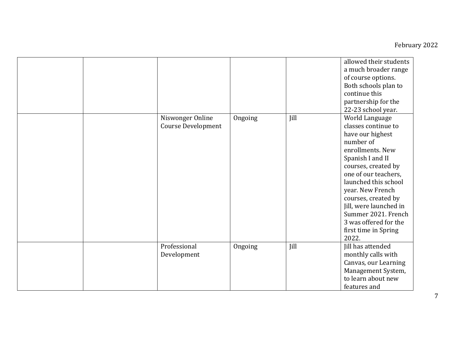|                                               |         |      | allowed their students<br>a much broader range<br>of course options.<br>Both schools plan to<br>continue this<br>partnership for the<br>22-23 school year.                                                                                                                                                                                  |
|-----------------------------------------------|---------|------|---------------------------------------------------------------------------------------------------------------------------------------------------------------------------------------------------------------------------------------------------------------------------------------------------------------------------------------------|
| Niswonger Online<br><b>Course Development</b> | Ongoing | Jill | World Language<br>classes continue to<br>have our highest<br>number of<br>enrollments. New<br>Spanish I and II<br>courses, created by<br>one of our teachers,<br>launched this school<br>year. New French<br>courses, created by<br>Jill, were launched in<br>Summer 2021. French<br>3 was offered for the<br>first time in Spring<br>2022. |
| Professional<br>Development                   | Ongoing | Jill | Jill has attended<br>monthly calls with<br>Canvas, our Learning<br>Management System,<br>to learn about new<br>features and                                                                                                                                                                                                                 |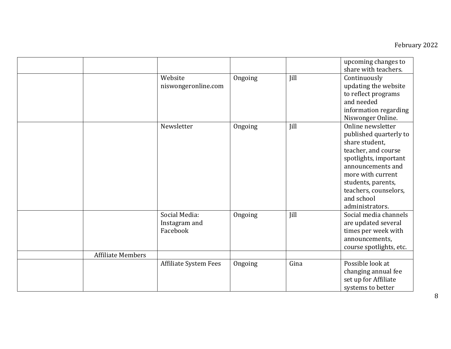|                          |                                            |         |      | upcoming changes to<br>share with teachers.                                                                                                                                                                                             |
|--------------------------|--------------------------------------------|---------|------|-----------------------------------------------------------------------------------------------------------------------------------------------------------------------------------------------------------------------------------------|
|                          | Website<br>niswongeronline.com             | Ongoing | Jill | Continuously<br>updating the website<br>to reflect programs<br>and needed<br>information regarding<br>Niswonger Online.                                                                                                                 |
|                          | Newsletter                                 | Ongoing | Jill | Online newsletter<br>published quarterly to<br>share student,<br>teacher, and course<br>spotlights, important<br>announcements and<br>more with current<br>students, parents,<br>teachers, counselors,<br>and school<br>administrators. |
|                          | Social Media:<br>Instagram and<br>Facebook | Ongoing | Jill | Social media channels<br>are updated several<br>times per week with<br>announcements,<br>course spotlights, etc.                                                                                                                        |
| <b>Affiliate Members</b> |                                            |         |      |                                                                                                                                                                                                                                         |
|                          | <b>Affiliate System Fees</b>               | Ongoing | Gina | Possible look at<br>changing annual fee<br>set up for Affiliate<br>systems to better                                                                                                                                                    |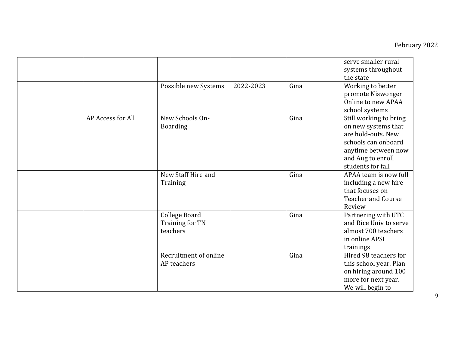|                   |                                                     |           |      | serve smaller rural<br>systems throughout<br>the state                                                                                                      |
|-------------------|-----------------------------------------------------|-----------|------|-------------------------------------------------------------------------------------------------------------------------------------------------------------|
|                   | Possible new Systems                                | 2022-2023 | Gina | Working to better<br>promote Niswonger<br>Online to new APAA<br>school systems                                                                              |
| AP Access for All | New Schools On-<br><b>Boarding</b>                  |           | Gina | Still working to bring<br>on new systems that<br>are hold-outs. New<br>schools can onboard<br>anytime between now<br>and Aug to enroll<br>students for fall |
|                   | New Staff Hire and<br>Training                      |           | Gina | APAA team is now full<br>including a new hire<br>that focuses on<br><b>Teacher and Course</b><br>Review                                                     |
|                   | <b>College Board</b><br>Training for TN<br>teachers |           | Gina | Partnering with UTC<br>and Rice Univ to serve<br>almost 700 teachers<br>in online APSI<br>trainings                                                         |
|                   | Recruitment of online<br>AP teachers                |           | Gina | Hired 98 teachers for<br>this school year. Plan<br>on hiring around 100<br>more for next year.<br>We will begin to                                          |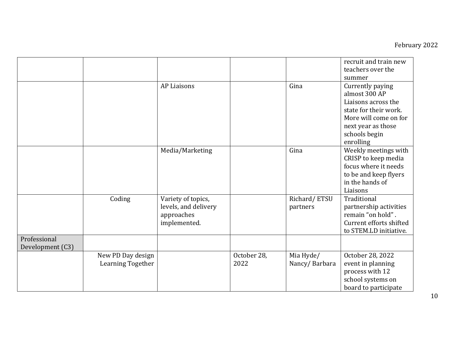|                                  |                                        |                                                                          |                     |                            | recruit and train new<br>teachers over the<br>summer                                                                                                           |
|----------------------------------|----------------------------------------|--------------------------------------------------------------------------|---------------------|----------------------------|----------------------------------------------------------------------------------------------------------------------------------------------------------------|
|                                  |                                        | <b>AP Liaisons</b>                                                       |                     | Gina                       | Currently paying<br>almost 300 AP<br>Liaisons across the<br>state for their work.<br>More will come on for<br>next year as those<br>schools begin<br>enrolling |
|                                  |                                        | Media/Marketing                                                          |                     | Gina                       | Weekly meetings with<br>CRISP to keep media<br>focus where it needs<br>to be and keep flyers<br>in the hands of<br>Liaisons                                    |
|                                  | Coding                                 | Variety of topics,<br>levels, and delivery<br>approaches<br>implemented. |                     | Richard/ETSU<br>partners   | Traditional<br>partnership activities<br>remain "on hold".<br>Current efforts shifted<br>to STEM.LD initiative.                                                |
| Professional<br>Development (C3) |                                        |                                                                          |                     |                            |                                                                                                                                                                |
|                                  | New PD Day design<br>Learning Together |                                                                          | October 28,<br>2022 | Mia Hyde/<br>Nancy/Barbara | October 28, 2022<br>event in planning<br>process with 12<br>school systems on<br>board to participate                                                          |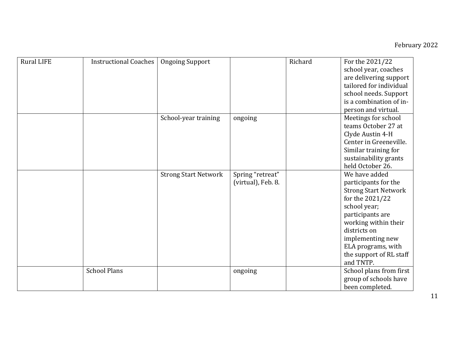| <b>Rural LIFE</b> | <b>Instructional Coaches</b> | <b>Ongoing Support</b>      |                    | Richard | For the 2021/22             |
|-------------------|------------------------------|-----------------------------|--------------------|---------|-----------------------------|
|                   |                              |                             |                    |         | school year, coaches        |
|                   |                              |                             |                    |         | are delivering support      |
|                   |                              |                             |                    |         | tailored for individual     |
|                   |                              |                             |                    |         | school needs. Support       |
|                   |                              |                             |                    |         | is a combination of in-     |
|                   |                              |                             |                    |         | person and virtual.         |
|                   |                              | School-year training        | ongoing            |         | Meetings for school         |
|                   |                              |                             |                    |         | teams October 27 at         |
|                   |                              |                             |                    |         | Clyde Austin 4-H            |
|                   |                              |                             |                    |         | Center in Greeneville.      |
|                   |                              |                             |                    |         | Similar training for        |
|                   |                              |                             |                    |         | sustainability grants       |
|                   |                              |                             |                    |         | held October 26.            |
|                   |                              | <b>Strong Start Network</b> | Spring "retreat"   |         | We have added               |
|                   |                              |                             | (virtual), Feb. 8. |         | participants for the        |
|                   |                              |                             |                    |         | <b>Strong Start Network</b> |
|                   |                              |                             |                    |         | for the 2021/22             |
|                   |                              |                             |                    |         | school year;                |
|                   |                              |                             |                    |         | participants are            |
|                   |                              |                             |                    |         | working within their        |
|                   |                              |                             |                    |         | districts on                |
|                   |                              |                             |                    |         | implementing new            |
|                   |                              |                             |                    |         | ELA programs, with          |
|                   |                              |                             |                    |         | the support of RL staff     |
|                   |                              |                             |                    |         | and TNTP.                   |
|                   | <b>School Plans</b>          |                             | ongoing            |         | School plans from first     |
|                   |                              |                             |                    |         | group of schools have       |
|                   |                              |                             |                    |         | been completed.             |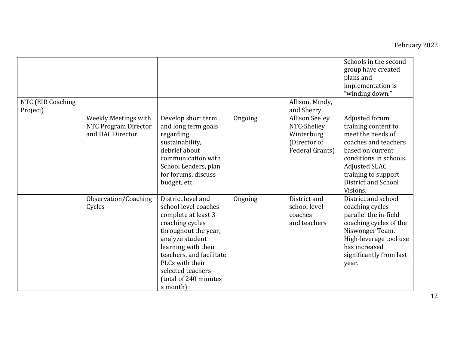|                               |                                                                  |                                                                                                                                                                                                                                                                 |         |                                                                                       | Schools in the second<br>group have created<br>plans and<br>implementation is<br>"winding down."                                                                                                            |
|-------------------------------|------------------------------------------------------------------|-----------------------------------------------------------------------------------------------------------------------------------------------------------------------------------------------------------------------------------------------------------------|---------|---------------------------------------------------------------------------------------|-------------------------------------------------------------------------------------------------------------------------------------------------------------------------------------------------------------|
| NTC (EIR Coaching<br>Project) |                                                                  |                                                                                                                                                                                                                                                                 |         | Allison, Mindy,<br>and Sherry                                                         |                                                                                                                                                                                                             |
|                               | Weekly Meetings with<br>NTC Program Director<br>and DAC Director | Develop short term<br>and long term goals<br>regarding<br>sustainability,<br>debrief about<br>communication with<br>School Leaders, plan<br>for forums, discuss<br>budget, etc.                                                                                 | Ongoing | <b>Allison Seeley</b><br>NTC-Shelley<br>Winterburg<br>(Director of<br>Federal Grants) | Adjusted forum<br>training content to<br>meet the needs of<br>coaches and teachers<br>based on current<br>conditions in schools.<br>Adjusted SLAC<br>training to support<br>District and School<br>Visions. |
|                               | Observation/Coaching<br>Cycles                                   | District level and<br>school level coaches<br>complete at least 3<br>coaching cycles<br>throughout the year,<br>analyze student<br>learning with their<br>teachers, and facilitate<br>PLCs with their<br>selected teachers<br>(total of 240 minutes<br>a month) | Ongoing | District and<br>school level<br>coaches<br>and teachers                               | District and school<br>coaching cycles<br>parallel the in-field<br>coaching cycles of the<br>Niswonger Team.<br>High-leverage tool use<br>has increased<br>significantly from last<br>year.                 |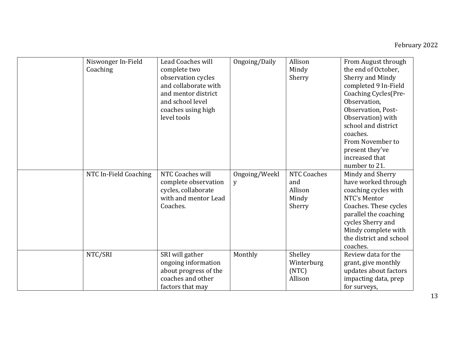|  | Niswonger In-Field<br>Coaching | <b>Lead Coaches will</b><br>complete two<br>observation cycles<br>and collaborate with<br>and mentor district<br>and school level<br>coaches using high<br>level tools | Ongoing/Daily      | Allison<br>Mindy<br>Sherry                              | From August through<br>the end of October.<br>Sherry and Mindy<br>completed 9 In-Field<br>Coaching Cycles (Pre-<br>Observation.<br>Observation, Post-<br>Observation) with<br>school and district<br>coaches.<br>From November to |
|--|--------------------------------|------------------------------------------------------------------------------------------------------------------------------------------------------------------------|--------------------|---------------------------------------------------------|-----------------------------------------------------------------------------------------------------------------------------------------------------------------------------------------------------------------------------------|
|  |                                |                                                                                                                                                                        |                    |                                                         | present they've<br>increased that<br>number to 21.                                                                                                                                                                                |
|  | NTC In-Field Coaching          | NTC Coaches will<br>complete observation<br>cycles, collaborate<br>with and mentor Lead<br>Coaches.                                                                    | Ongoing/Weekl<br>y | <b>NTC Coaches</b><br>and<br>Allison<br>Mindy<br>Sherry | Mindy and Sherry<br>have worked through<br>coaching cycles with<br>NTC's Mentor<br>Coaches. These cycles<br>parallel the coaching<br>cycles Sherry and<br>Mindy complete with<br>the district and school<br>coaches.              |
|  | NTC/SRI                        | SRI will gather<br>ongoing information<br>about progress of the<br>coaches and other<br>factors that may                                                               | Monthly            | Shelley<br>Winterburg<br>(NTC)<br>Allison               | Review data for the<br>grant, give monthly<br>updates about factors<br>impacting data, prep<br>for surveys,                                                                                                                       |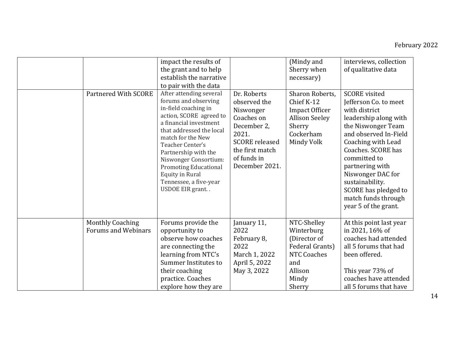| <b>Partnered With SCORE</b>                           | impact the results of<br>the grant and to help<br>establish the narrative<br>to pair with the data<br>After attending several<br>forums and observing<br>in-field coaching in<br>action, SCORE agreed to<br>a financial investment<br>that addressed the local<br>match for the New<br>Teacher Center's<br>Partnership with the<br>Niswonger Consortium:<br><b>Promoting Educational</b><br><b>Equity in Rural</b><br>Tennessee, a five-year<br>USDOE EIR grant | Dr. Roberts<br>observed the<br>Niswonger<br>Coaches on<br>December 2,<br>2021.<br><b>SCORE</b> released<br>the first match<br>of funds in<br>December 2021. | (Mindy and<br>Sherry when<br>necessary)<br>Sharon Roberts,<br>Chief K-12<br><b>Impact Officer</b><br><b>Allison Seeley</b><br>Sherry<br>Cockerham<br>Mindy Volk | interviews, collection<br>of qualitative data<br><b>SCORE</b> visited<br>Jefferson Co. to meet<br>with district<br>leadership along with<br>the Niswonger Team<br>and observed In-Field<br>Coaching with Lead<br>Coaches. SCORE has<br>committed to<br>partnering with<br>Niswonger DAC for<br>sustainability.<br>SCORE has pledged to<br>match funds through<br>year 5 of the grant. |
|-------------------------------------------------------|-----------------------------------------------------------------------------------------------------------------------------------------------------------------------------------------------------------------------------------------------------------------------------------------------------------------------------------------------------------------------------------------------------------------------------------------------------------------|-------------------------------------------------------------------------------------------------------------------------------------------------------------|-----------------------------------------------------------------------------------------------------------------------------------------------------------------|---------------------------------------------------------------------------------------------------------------------------------------------------------------------------------------------------------------------------------------------------------------------------------------------------------------------------------------------------------------------------------------|
| <b>Monthly Coaching</b><br><b>Forums and Webinars</b> | Forums provide the<br>opportunity to<br>observe how coaches<br>are connecting the<br>learning from NTC's<br>Summer Institutes to<br>their coaching<br>practice. Coaches<br>explore how they are                                                                                                                                                                                                                                                                 | January 11,<br>2022<br>February 8,<br>2022<br>March 1, 2022<br>April 5, 2022<br>May 3, 2022                                                                 | NTC-Shelley<br>Winterburg<br>(Director of<br>Federal Grants)<br><b>NTC Coaches</b><br>and<br>Allison<br>Mindy<br>Sherry                                         | At this point last year<br>in 2021, 16% of<br>coaches had attended<br>all 5 forums that had<br>been offered.<br>This year 73% of<br>coaches have attended<br>all 5 forums that have                                                                                                                                                                                                   |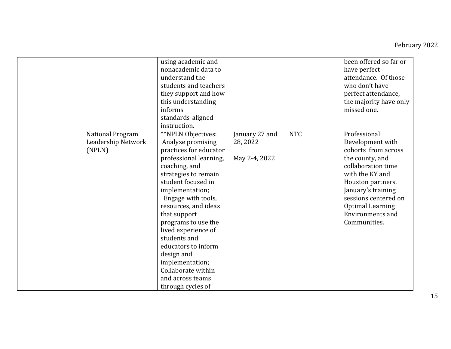|                                                         | using academic and<br>nonacademic data to<br>understand the<br>students and teachers<br>they support and how<br>this understanding<br>informs<br>standards-aligned<br>instruction.                                                                                                                                                                                                                                               |                                             |            | been offered so far or<br>have perfect<br>attendance. Of those<br>who don't have<br>perfect attendance,<br>the majority have only<br>missed one.                                                                                                             |
|---------------------------------------------------------|----------------------------------------------------------------------------------------------------------------------------------------------------------------------------------------------------------------------------------------------------------------------------------------------------------------------------------------------------------------------------------------------------------------------------------|---------------------------------------------|------------|--------------------------------------------------------------------------------------------------------------------------------------------------------------------------------------------------------------------------------------------------------------|
| <b>National Program</b><br>Leadership Network<br>(NPLN) | **NPLN Objectives:<br>Analyze promising<br>practices for educator<br>professional learning,<br>coaching, and<br>strategies to remain<br>student focused in<br>implementation;<br>Engage with tools,<br>resources, and ideas<br>that support<br>programs to use the<br>lived experience of<br>students and<br>educators to inform<br>design and<br>implementation;<br>Collaborate within<br>and across teams<br>through cycles of | January 27 and<br>28, 2022<br>May 2-4, 2022 | <b>NTC</b> | Professional<br>Development with<br>cohorts from across<br>the county, and<br>collaboration time<br>with the KY and<br>Houston partners.<br>January's training<br>sessions centered on<br><b>Optimal Learning</b><br><b>Environments and</b><br>Communities. |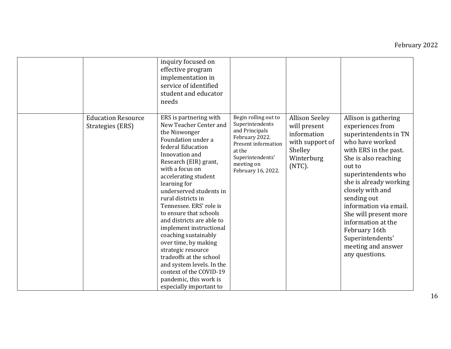|                                               | inquiry focused on<br>effective program<br>implementation in<br>service of identified<br>student and educator<br>needs                                                                                                                                                                                                                                                                                                                                                                                                                                                                         |                                                                                                                                                                             |                                                                                                            |                                                                                                                                                                                                                                                                                                                                                                                           |
|-----------------------------------------------|------------------------------------------------------------------------------------------------------------------------------------------------------------------------------------------------------------------------------------------------------------------------------------------------------------------------------------------------------------------------------------------------------------------------------------------------------------------------------------------------------------------------------------------------------------------------------------------------|-----------------------------------------------------------------------------------------------------------------------------------------------------------------------------|------------------------------------------------------------------------------------------------------------|-------------------------------------------------------------------------------------------------------------------------------------------------------------------------------------------------------------------------------------------------------------------------------------------------------------------------------------------------------------------------------------------|
| <b>Education Resource</b><br>Strategies (ERS) | ERS is partnering with<br>New Teacher Center and<br>the Niswonger<br>Foundation under a<br>federal Education<br>Innovation and<br>Research (EIR) grant,<br>with a focus on<br>accelerating student<br>learning for<br>underserved students in<br>rural districts in<br>Tennessee. ERS' role is<br>to ensure that schools<br>and districts are able to<br>implement instructional<br>coaching sustainably<br>over time, by making<br>strategic resource<br>tradeoffs at the school<br>and system levels. In the<br>context of the COVID-19<br>pandemic, this work is<br>especially important to | Begin rolling out to<br>Superintendents<br>and Principals<br>February 2022.<br><b>Present information</b><br>at the<br>Superintendents'<br>meeting on<br>February 16, 2022. | <b>Allison Seeley</b><br>will present<br>information<br>with support of<br>Shelley<br>Winterburg<br>(NTC). | Allison is gathering<br>experiences from<br>superintendents in TN<br>who have worked<br>with ERS in the past.<br>She is also reaching<br>out to<br>superintendents who<br>she is already working<br>closely with and<br>sending out<br>information via email.<br>She will present more<br>information at the<br>February 16th<br>Superintendents'<br>meeting and answer<br>any questions. |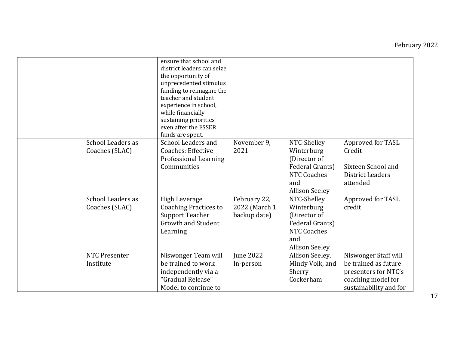|                                            | ensure that school and<br>district leaders can seize<br>the opportunity of<br>unprecedented stimulus<br>funding to reimagine the<br>teacher and student<br>experience in school,<br>while financially<br>sustaining priorities<br>even after the ESSER |                                               |                                                                                                                    |                                                                                                                      |
|--------------------------------------------|--------------------------------------------------------------------------------------------------------------------------------------------------------------------------------------------------------------------------------------------------------|-----------------------------------------------|--------------------------------------------------------------------------------------------------------------------|----------------------------------------------------------------------------------------------------------------------|
| School Leaders as<br>Coaches (SLAC)        | funds are spent.<br>School Leaders and<br><b>Coaches: Effective</b><br>Professional Learning<br>Communities                                                                                                                                            | November 9,<br>2021                           | NTC-Shelley<br>Winterburg<br>(Director of<br>Federal Grants)<br><b>NTC Coaches</b><br>and<br><b>Allison Seeley</b> | Approved for TASL<br>Credit<br>Sixteen School and<br><b>District Leaders</b><br>attended                             |
| <b>School Leaders as</b><br>Coaches (SLAC) | <b>High Leverage</b><br><b>Coaching Practices to</b><br><b>Support Teacher</b><br><b>Growth and Student</b><br>Learning                                                                                                                                | February 22,<br>2022 (March 1<br>backup date) | NTC-Shelley<br>Winterburg<br>(Director of<br>Federal Grants)<br><b>NTC Coaches</b><br>and<br><b>Allison Seeley</b> | Approved for TASL<br>credit                                                                                          |
| <b>NTC Presenter</b><br>Institute          | Niswonger Team will<br>be trained to work<br>independently via a<br>"Gradual Release"<br>Model to continue to                                                                                                                                          | June 2022<br>In-person                        | Allison Seeley,<br>Mindy Volk, and<br>Sherry<br>Cockerham                                                          | Niswonger Staff will<br>be trained as future<br>presenters for NTC's<br>coaching model for<br>sustainability and for |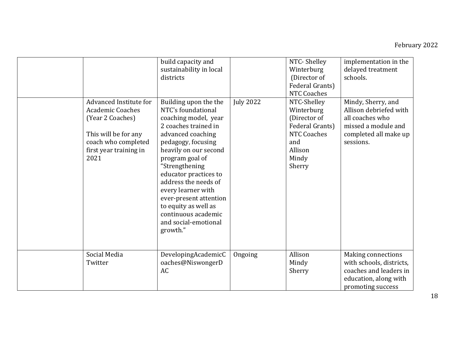| Advanced Institute for<br><b>Academic Coaches</b><br>(Year 2 Coaches)<br>This will be for any<br>coach who completed<br>first year training in<br>2021 | build capacity and<br>sustainability in local<br>districts<br>Building upon the the<br>NTC's foundational<br>coaching model, year<br>2 coaches trained in<br>advanced coaching<br>pedagogy, focusing<br>heavily on our second<br>program goal of<br>"Strengthening<br>educator practices to<br>address the needs of<br>every learner with<br>ever-present attention<br>to equity as well as<br>continuous academic<br>and social-emotional<br>growth." | <b>July 2022</b> | NTC-Shelley<br>Winterburg<br>(Director of<br>Federal Grants)<br><b>NTC Coaches</b><br>NTC-Shelley<br>Winterburg<br>(Director of<br>Federal Grants)<br><b>NTC Coaches</b><br>and<br>Allison<br>Mindy<br>Sherry | implementation in the<br>delayed treatment<br>schools.<br>Mindy, Sherry, and<br>Allison debriefed with<br>all coaches who<br>missed a module and<br>completed all make up<br>sessions. |
|--------------------------------------------------------------------------------------------------------------------------------------------------------|--------------------------------------------------------------------------------------------------------------------------------------------------------------------------------------------------------------------------------------------------------------------------------------------------------------------------------------------------------------------------------------------------------------------------------------------------------|------------------|---------------------------------------------------------------------------------------------------------------------------------------------------------------------------------------------------------------|----------------------------------------------------------------------------------------------------------------------------------------------------------------------------------------|
| Social Media<br>Twitter                                                                                                                                | DevelopingAcademicC<br>oaches@NiswongerD<br>AC                                                                                                                                                                                                                                                                                                                                                                                                         | Ongoing          | Allison<br>Mindy<br>Sherry                                                                                                                                                                                    | <b>Making connections</b><br>with schools, districts,<br>coaches and leaders in<br>education, along with<br>promoting success                                                          |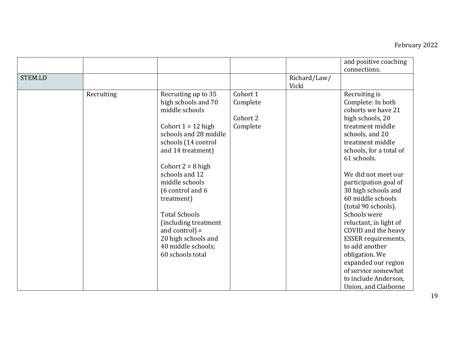|         |            |                                                                                                                                                                                                                                                                                                                                                                                             |                                              |                       | and positive coaching<br>connections.                                                                                                                                                                                                                                                                                                                                                                                                                                                                                                 |
|---------|------------|---------------------------------------------------------------------------------------------------------------------------------------------------------------------------------------------------------------------------------------------------------------------------------------------------------------------------------------------------------------------------------------------|----------------------------------------------|-----------------------|---------------------------------------------------------------------------------------------------------------------------------------------------------------------------------------------------------------------------------------------------------------------------------------------------------------------------------------------------------------------------------------------------------------------------------------------------------------------------------------------------------------------------------------|
| STEM.LD |            |                                                                                                                                                                                                                                                                                                                                                                                             |                                              | Richard/Law/<br>Vicki |                                                                                                                                                                                                                                                                                                                                                                                                                                                                                                                                       |
|         | Recruiting | Recruiting up to 35<br>high schools and 70<br>middle schools<br>Cohort $1 = 12$ high<br>schools and 28 middle<br>schools (14 control<br>and 14 treatment)<br>Cohort $2 = 8$ high<br>schools and 12<br>middle schools<br>(6 control and 6<br>treatment)<br><b>Total Schools</b><br>(including treatment<br>and control) $=$<br>20 high schools and<br>40 middle schools;<br>60 schools total | Cohort 1<br>Complete<br>Cohort 2<br>Complete |                       | Recruiting is<br>Complete: In both<br>cohorts we have 21<br>high schools, 20<br>treatment middle<br>schools, and 20<br>treatment middle<br>schools, for a total of<br>61 schools.<br>We did not meet our<br>participation goal of<br>30 high schools and<br>60 middle schools<br>(total 90 schools).<br>Schools were<br>reluctant, in light of<br>COVID and the heavy<br><b>ESSER</b> requirements,<br>to add another<br>obligation. We<br>expanded our region<br>of service somewhat<br>to include Anderson,<br>Union, and Claiborne |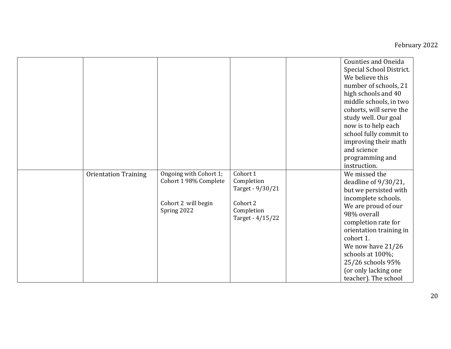|                             |                                                                                       |                                                                                          | <b>Counties and Oneida</b><br>Special School District.<br>We believe this<br>number of schools, 21<br>high schools and 40<br>middle schools, in two<br>cohorts, will serve the<br>study well. Our goal<br>now is to help each<br>school fully commit to<br>improving their math<br>and science<br>programming and<br>instruction. |
|-----------------------------|---------------------------------------------------------------------------------------|------------------------------------------------------------------------------------------|-----------------------------------------------------------------------------------------------------------------------------------------------------------------------------------------------------------------------------------------------------------------------------------------------------------------------------------|
| <b>Orientation Training</b> | Ongoing with Cohort 1;<br>Cohort 1 98% Complete<br>Cohort 2 will begin<br>Spring 2022 | Cohort 1<br>Completion<br>Target - 9/30/21<br>Cohort 2<br>Completion<br>Target - 4/15/22 | We missed the<br>deadline of 9/30/21,<br>but we persisted with<br>incomplete schools.<br>We are proud of our<br>98% overall<br>completion rate for<br>orientation training in<br>cohort 1.<br>We now have 21/26<br>schools at 100%;<br>25/26 schools 95%<br>(or only lacking one<br>teacher). The school                          |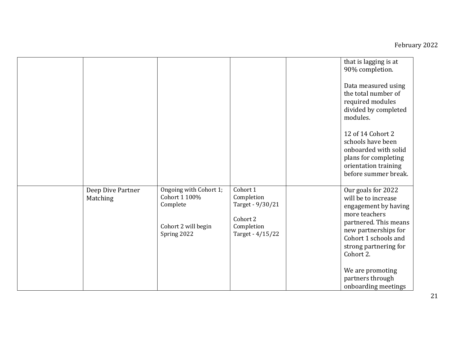|                               |                                                                                           |                                                                                          | that is lagging is at<br>90% completion.<br>Data measured using<br>the total number of<br>required modules<br>divided by completed<br>modules.<br>12 of 14 Cohort 2<br>schools have been<br>onboarded with solid<br>plans for completing<br>orientation training<br>before summer break. |
|-------------------------------|-------------------------------------------------------------------------------------------|------------------------------------------------------------------------------------------|------------------------------------------------------------------------------------------------------------------------------------------------------------------------------------------------------------------------------------------------------------------------------------------|
| Deep Dive Partner<br>Matching | Ongoing with Cohort 1;<br>Cohort 1 100%<br>Complete<br>Cohort 2 will begin<br>Spring 2022 | Cohort 1<br>Completion<br>Target - 9/30/21<br>Cohort 2<br>Completion<br>Target - 4/15/22 | Our goals for 2022<br>will be to increase<br>engagement by having<br>more teachers<br>partnered. This means<br>new partnerships for<br>Cohort 1 schools and<br>strong partnering for<br>Cohort 2.<br>We are promoting<br>partners through<br>onboarding meetings                         |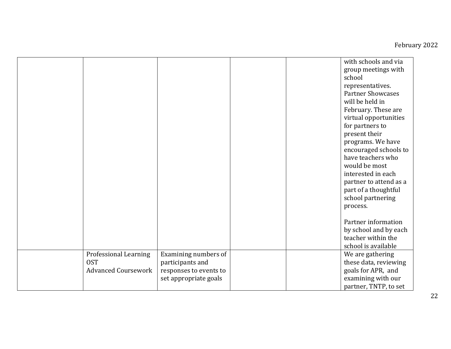|                            |                        |  | with schools and via     |
|----------------------------|------------------------|--|--------------------------|
|                            |                        |  | group meetings with      |
|                            |                        |  | school                   |
|                            |                        |  | representatives.         |
|                            |                        |  | <b>Partner Showcases</b> |
|                            |                        |  | will be held in          |
|                            |                        |  | February. These are      |
|                            |                        |  | virtual opportunities    |
|                            |                        |  | for partners to          |
|                            |                        |  | present their            |
|                            |                        |  | programs. We have        |
|                            |                        |  | encouraged schools to    |
|                            |                        |  | have teachers who        |
|                            |                        |  | would be most            |
|                            |                        |  | interested in each       |
|                            |                        |  | partner to attend as a   |
|                            |                        |  | part of a thoughtful     |
|                            |                        |  | school partnering        |
|                            |                        |  | process.                 |
|                            |                        |  |                          |
|                            |                        |  | Partner information      |
|                            |                        |  | by school and by each    |
|                            |                        |  | teacher within the       |
|                            |                        |  | school is available      |
| Professional Learning      | Examining numbers of   |  | We are gathering         |
| <b>OST</b>                 | participants and       |  | these data, reviewing    |
| <b>Advanced Coursework</b> | responses to events to |  | goals for APR, and       |
|                            | set appropriate goals  |  | examining with our       |
|                            |                        |  | partner, TNTP, to set    |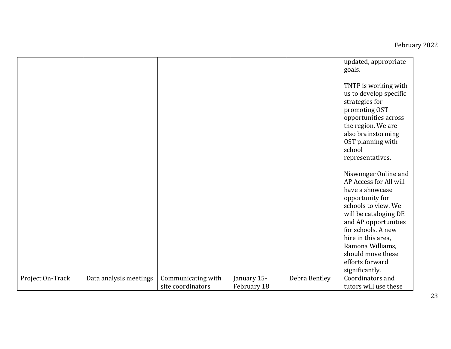|                  |                        |                                         |                            |               | updated, appropriate<br>goals.                                                                                                                                                                                                                                                         |
|------------------|------------------------|-----------------------------------------|----------------------------|---------------|----------------------------------------------------------------------------------------------------------------------------------------------------------------------------------------------------------------------------------------------------------------------------------------|
|                  |                        |                                         |                            |               | TNTP is working with<br>us to develop specific<br>strategies for<br>promoting OST<br>opportunities across<br>the region. We are<br>also brainstorming<br>OST planning with<br>school<br>representatives.                                                                               |
|                  |                        |                                         |                            |               | Niswonger Online and<br>AP Access for All will<br>have a showcase<br>opportunity for<br>schools to view. We<br>will be cataloging DE<br>and AP opportunities<br>for schools. A new<br>hire in this area,<br>Ramona Williams,<br>should move these<br>efforts forward<br>significantly. |
| Project On-Track |                        |                                         |                            | Debra Bentley | Coordinators and                                                                                                                                                                                                                                                                       |
|                  | Data analysis meetings | Communicating with<br>site coordinators | January 15-<br>February 18 |               | tutors will use these                                                                                                                                                                                                                                                                  |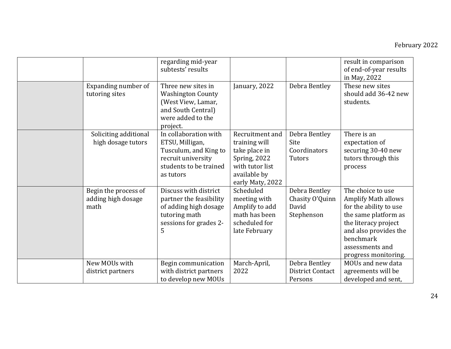|                                                    | regarding mid-year<br>subtests' results                                                                                        |                                                                                                                          |                                                         | result in comparison<br>of end-of-year results<br>in May, 2022                                                                                                                                             |
|----------------------------------------------------|--------------------------------------------------------------------------------------------------------------------------------|--------------------------------------------------------------------------------------------------------------------------|---------------------------------------------------------|------------------------------------------------------------------------------------------------------------------------------------------------------------------------------------------------------------|
| Expanding number of<br>tutoring sites              | Three new sites in<br><b>Washington County</b><br>(West View, Lamar,<br>and South Central)<br>were added to the<br>project.    | January, 2022                                                                                                            | Debra Bentley                                           | These new sites<br>should add 36-42 new<br>students.                                                                                                                                                       |
| Soliciting additional<br>high dosage tutors        | In collaboration with<br>ETSU, Milligan,<br>Tusculum, and King to<br>recruit university<br>students to be trained<br>as tutors | Recruitment and<br>training will<br>take place in<br>Spring, 2022<br>with tutor list<br>available by<br>early Maty, 2022 | Debra Bentley<br>Site<br>Coordinators<br>Tutors         | There is an<br>expectation of<br>securing 30-40 new<br>tutors through this<br>process                                                                                                                      |
| Begin the process of<br>adding high dosage<br>math | Discuss with district<br>partner the feasibility<br>of adding high dosage<br>tutoring math<br>sessions for grades 2-<br>5      | Scheduled<br>meeting with<br>Amplify to add<br>math has been<br>scheduled for<br>late February                           | Debra Bentley<br>Chasity O'Quinn<br>David<br>Stephenson | The choice to use<br><b>Amplify Math allows</b><br>for the ability to use<br>the same platform as<br>the literacy project<br>and also provides the<br>benchmark<br>assessments and<br>progress monitoring. |
| New MOUs with<br>district partners                 | Begin communication<br>with district partners<br>to develop new MOUs                                                           | March-April,<br>2022                                                                                                     | Debra Bentley<br><b>District Contact</b><br>Persons     | MOUs and new data<br>agreements will be<br>developed and sent,                                                                                                                                             |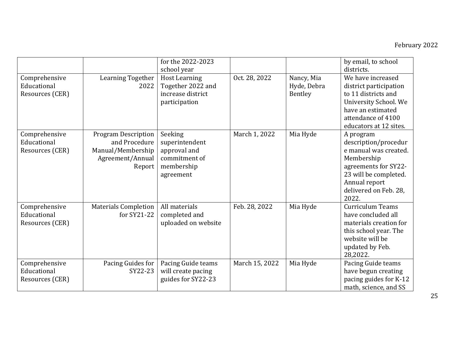|                                                 |                                                                                                | for the 2022-2023<br>school year                                                      |                |                                      | by email, to school<br>districts.                                                                                                                                            |
|-------------------------------------------------|------------------------------------------------------------------------------------------------|---------------------------------------------------------------------------------------|----------------|--------------------------------------|------------------------------------------------------------------------------------------------------------------------------------------------------------------------------|
| Comprehensive<br>Educational<br>Resources (CER) | Learning Together<br>2022                                                                      | <b>Host Learning</b><br>Together 2022 and<br>increase district<br>participation       | Oct. 28, 2022  | Nancy, Mia<br>Hyde, Debra<br>Bentley | We have increased<br>district participation<br>to 11 districts and<br>University School. We<br>have an estimated<br>attendance of 4100<br>educators at 12 sites.             |
| Comprehensive<br>Educational<br>Resources (CER) | <b>Program Description</b><br>and Procedure<br>Manual/Membership<br>Agreement/Annual<br>Report | Seeking<br>superintendent<br>approval and<br>commitment of<br>membership<br>agreement | March 1, 2022  | Mia Hyde                             | A program<br>description/procedur<br>e manual was created.<br>Membership<br>agreements for SY22-<br>23 will be completed.<br>Annual report<br>delivered on Feb. 28,<br>2022. |
| Comprehensive<br>Educational<br>Resources (CER) | <b>Materials Completion</b><br>for SY21-22                                                     | All materials<br>completed and<br>uploaded on website                                 | Feb. 28, 2022  | Mia Hyde                             | <b>Curriculum Teams</b><br>have concluded all<br>materials creation for<br>this school year. The<br>website will be<br>updated by Feb.<br>28,2022.                           |
| Comprehensive<br>Educational<br>Resources (CER) | Pacing Guides for<br>SY22-23                                                                   | Pacing Guide teams<br>will create pacing<br>guides for SY22-23                        | March 15, 2022 | Mia Hyde                             | Pacing Guide teams<br>have begun creating<br>pacing guides for K-12<br>math, science, and SS                                                                                 |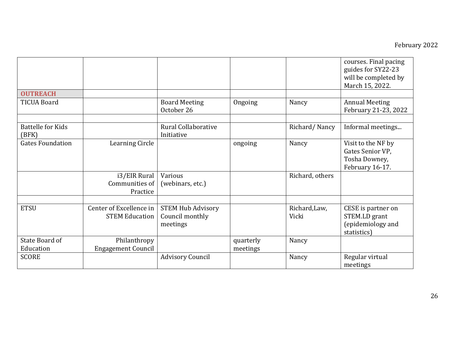|                                   |                                                  |                                                         |           |                        | courses. Final pacing<br>guides for SY22-23<br>will be completed by<br>March 15, 2022. |
|-----------------------------------|--------------------------------------------------|---------------------------------------------------------|-----------|------------------------|----------------------------------------------------------------------------------------|
| <b>OUTREACH</b>                   |                                                  |                                                         |           |                        |                                                                                        |
| <b>TICUA Board</b>                |                                                  | <b>Board Meeting</b><br>October 26                      | Ongoing   | Nancy                  | <b>Annual Meeting</b><br>February 21-23, 2022                                          |
| <b>Battelle for Kids</b><br>(BFK) |                                                  | Rural Collaborative<br>Initiative                       |           | Richard/Nancy          | Informal meetings                                                                      |
| <b>Gates Foundation</b>           | <b>Learning Circle</b>                           |                                                         | ongoing   | Nancy                  | Visit to the NF by<br>Gates Senior VP,<br>Tosha Downey,<br>February 16-17.             |
|                                   | i3/EIR Rural<br>Communities of<br>Practice       | Various<br>(webinars, etc.)                             |           | Richard, others        |                                                                                        |
|                                   |                                                  |                                                         |           |                        |                                                                                        |
| <b>ETSU</b>                       | Center of Excellence in<br><b>STEM Education</b> | <b>STEM Hub Advisory</b><br>Council monthly<br>meetings |           | Richard, Law,<br>Vicki | CESE is partner on<br>STEM.LD grant<br>(epidemiology and<br>statistics)                |
| State Board of                    | Philanthropy                                     |                                                         | quarterly | Nancy                  |                                                                                        |
| Education                         | <b>Engagement Council</b>                        |                                                         | meetings  |                        |                                                                                        |
| <b>SCORE</b>                      |                                                  | <b>Advisory Council</b>                                 |           | Nancy                  | Regular virtual<br>meetings                                                            |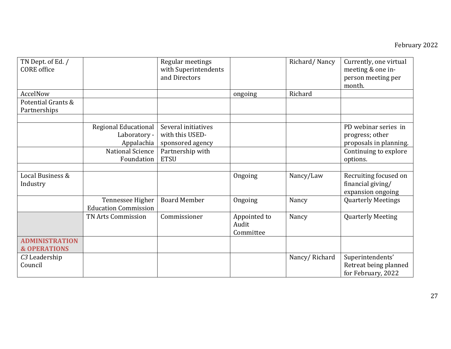| TN Dept. of Ed. /<br><b>CORE</b> office          |                                                    | Regular meetings<br>with Superintendents<br>and Directors  |                                    | Richard/Nancy | Currently, one virtual<br>meeting & one in-<br>person meeting per<br>month. |
|--------------------------------------------------|----------------------------------------------------|------------------------------------------------------------|------------------------------------|---------------|-----------------------------------------------------------------------------|
| AccelNow                                         |                                                    |                                                            | ongoing                            | Richard       |                                                                             |
| Potential Grants &<br>Partnerships               |                                                    |                                                            |                                    |               |                                                                             |
|                                                  |                                                    |                                                            |                                    |               |                                                                             |
|                                                  | Regional Educational<br>Laboratory -<br>Appalachia | Several initiatives<br>with this USED-<br>sponsored agency |                                    |               | PD webinar series in<br>progress; other<br>proposals in planning.           |
|                                                  | <b>National Science</b><br>Foundation              | Partnership with<br><b>ETSU</b>                            |                                    |               | Continuing to explore<br>options.                                           |
|                                                  |                                                    |                                                            |                                    |               |                                                                             |
| Local Business &<br>Industry                     |                                                    |                                                            | Ongoing                            | Nancy/Law     | Recruiting focused on<br>financial giving/<br>expansion ongoing             |
|                                                  | Tennessee Higher<br><b>Education Commission</b>    | <b>Board Member</b>                                        | Ongoing                            | Nancy         | <b>Quarterly Meetings</b>                                                   |
|                                                  | TN Arts Commission                                 | Commissioner                                               | Appointed to<br>Audit<br>Committee | Nancy         | <b>Quarterly Meeting</b>                                                    |
| <b>ADMINISTRATION</b><br><b>&amp; OPERATIONS</b> |                                                    |                                                            |                                    |               |                                                                             |
| C <sub>3</sub> Leadership<br>Council             |                                                    |                                                            |                                    | Nancy/Richard | Superintendents'<br>Retreat being planned<br>for February, 2022             |